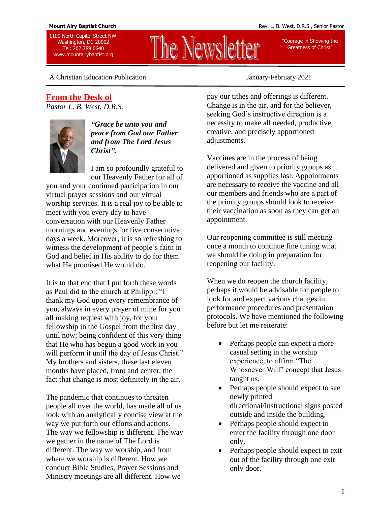1100 North Capitol Street NW Washington, DC 20002 Tel: 202.789.0640 [www.mountairybaptist.org](http://www.mountairybaptist.org/)

"Courage in Showing the Greatness of Christ"

A Christian Education Publication January-February 2021

### **From the Desk of**

*Pastor L. B. West, D.R.S.*



*"Grace be unto you and peace from God our Father and from The Lord Jesus Christ".* 

I am so profoundly grateful to our Heavenly Father for all of

you and your continued participation in our virtual prayer sessions and our virtual worship services. It is a real joy to be able to meet with you every day to have conversation with our Heavenly Father mornings and evenings for five consecutive days a week. Moreover, it is so refreshing to witness the development of people's faith in God and belief in His ability to do for them what He promised He would do.

It is to that end that I put forth these words as Paul did to the church at Philippi: "I thank my God upon every remembrance of you, always in every prayer of mine for you all making request with joy, for your fellowship in the Gospel from the first day until now; being confident of this very thing that He who has begun a good work in you will perform it until the day of Jesus Christ." My brothers and sisters, these last eleven months have placed, front and center, the fact that change is most definitely in the air.

The pandemic that continues to threaten people all over the world, has made all of us look with an analytically concise view at the way we put forth our efforts and actions. The way we fellowship is different. The way we gather in the name of The Lord is different. The way we worship, and from where we worship is different. How we conduct Bible Studies, Prayer Sessions and Ministry meetings are all different. How we

pay our tithes and offerings is different. Change is in the air, and for the believer, seeking God's instructive direction is a necessity to make all needed, productive, creative, and precisely apportioned adjustments.

The Newsletter

Vaccines are in the process of being delivered and given to priority groups as apportioned as supplies last. Appointments are necessary to receive the vaccine and all our members and friends who are a part of the priority groups should look to receive their vaccination as soon as they can get an appointment.

Our reopening committee is still meeting once a month to continue fine tuning what we should be doing in preparation for reopening our facility.

When we do reopen the church facility, perhaps it would be advisable for people to look for and expect various changes in performance procedures and presentation protocols. We have mentioned the following before but let me reiterate:

- Perhaps people can expect a more casual setting in the worship experience, to affirm "The Whosoever Will" concept that Jesus taught us.
- Perhaps people should expect to see newly printed directional/instructional signs posted outside and inside the building.
- Perhaps people should expect to enter the facility through one door only.
- Perhaps people should expect to exit out of the facility through one exit only door.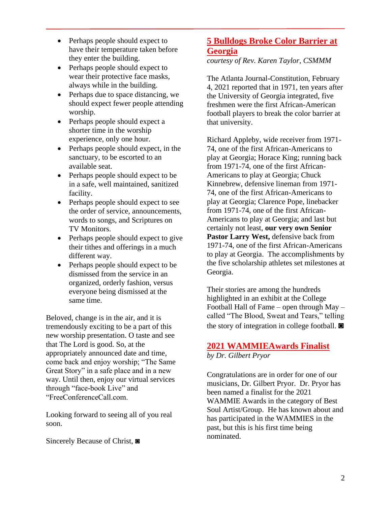- Perhaps people should expect to have their temperature taken before they enter the building.
- Perhaps people should expect to wear their protective face masks, always while in the building.
- Perhaps due to space distancing, we should expect fewer people attending worship.
- Perhaps people should expect a shorter time in the worship experience, only one hour.
- Perhaps people should expect, in the sanctuary, to be escorted to an available seat.
- Perhaps people should expect to be in a safe, well maintained, sanitized facility.
- Perhaps people should expect to see the order of service, announcements, words to songs, and Scriptures on TV Monitors.
- Perhaps people should expect to give their tithes and offerings in a much different way.
- Perhaps people should expect to be dismissed from the service in an organized, orderly fashion, versus everyone being dismissed at the same time.

Beloved, change is in the air, and it is tremendously exciting to be a part of this new worship presentation. O taste and see that The Lord is good. So, at the appropriately announced date and time, come back and enjoy worship; "The Same Great Story" in a safe place and in a new way. Until then, enjoy our virtual services through "face-book Live" and "FreeConferenceCall.com.

Looking forward to seeing all of you real soon.

Sincerely Because of Christ, ◙

## **5 Bulldogs Broke Color Barrier at Georgia**

*courtesy of Rev. Karen Taylor, CSMMM*

The Atlanta Journal-Constitution, February 4, 2021 reported that in 1971, ten years after the University of Georgia integrated, five freshmen were the first African-American football players to break the color barrier at that university.

Richard Appleby, wide receiver from 1971- 74, one of the first African-Americans to play at Georgia; Horace King; running back from 1971-74, one of the first African-Americans to play at Georgia; Chuck Kinnebrew, defensive lineman from 1971- 74, one of the first African-Americans to play at Georgia; Clarence Pope, linebacker from 1971-74, one of the first African-Americans to play at Georgia; and last but certainly not least, **our very own Senior Pastor Larry West,** defensive back from 1971-74, one of the first African-Americans to play at Georgia. The accomplishments by the five scholarship athletes set milestones at Georgia.

Their stories are among the hundreds highlighted in an exhibit at the College Football Hall of Fame – open through May – called "The Blood, Sweat and Tears," telling the story of integration in college football. ◙

# **2021 WAMMIEAwards Finalist**

*by Dr. Gilbert Pryor*

Congratulations are in order for one of our musicians, Dr. Gilbert Pryor. Dr. Pryor has been named a finalist for the 2021 WAMMIE Awards in the category of Best Soul Artist/Group. He has known about and has participated in the WAMMIES in the past, but this is his first time being nominated.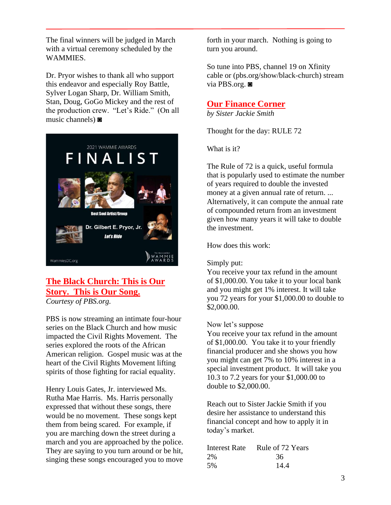The final winners will be judged in March with a virtual ceremony scheduled by the WAMMIES.

Dr. Pryor wishes to thank all who support this endeavor and especially Roy Battle, Sylver Logan Sharp, Dr. William Smith, Stan, Doug, GoGo Mickey and the rest of the production crew. "Let's Ride." (On all music channels) ◙



## **The Black Church: This is Our Story. This is Our Song.**

*Courtesy of PBS.org.*

PBS is now streaming an intimate four-hour series on the Black Church and how music impacted the Civil Rights Movement. The series explored the roots of the African American religion. Gospel music was at the heart of the Civil Rights Movement lifting spirits of those fighting for racial equality.

Henry Louis Gates, Jr. interviewed Ms. Rutha Mae Harris. Ms. Harris personally expressed that without these songs, there would be no movement. These songs kept them from being scared. For example, if you are marching down the street during a march and you are approached by the police. They are saying to you turn around or be hit, singing these songs encouraged you to move

forth in your march. Nothing is going to turn you around.

So tune into PBS, channel 19 on Xfinity cable or (pbs.org/show/black-church) stream via PBS.org. ◙

## **Our Finance Corner**

*by Sister Jackie Smith*

Thought for the day: RULE 72

What is it?

The Rule of 72 is a quick, useful formula that is popularly used to estimate the number of years required to double the invested money at a given annual rate of return. ... Alternatively, it can compute the annual rate of compounded return from an investment given how many years it will take to double the investment.

How does this work:

#### Simply put:

You receive your tax refund in the amount of \$1,000.00. You take it to your local bank and you might get 1% interest. It will take you 72 years for your \$1,000.00 to double to \$2,000.00.

#### Now let's suppose

You receive your tax refund in the amount of \$1,000.00. You take it to your friendly financial producer and she shows you how you might can get 7% to 10% interest in a special investment product. It will take you 10.3 to 7.2 years for your \$1,000.00 to double to \$2,000.00.

Reach out to Sister Jackie Smith if you desire her assistance to understand this financial concept and how to apply it in today's market.

| Interest Rate | Rule of 72 Years |
|---------------|------------------|
| 2%            | 36               |
| 5%            | 14.4             |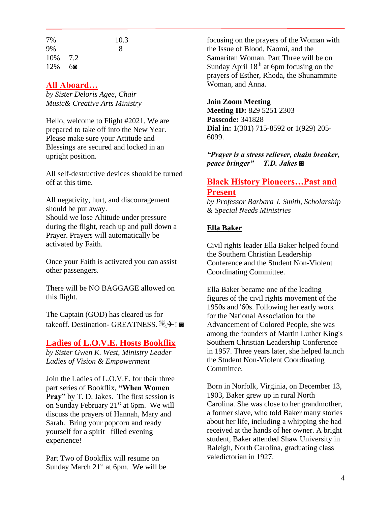| 7%       |    | 10.3 |
|----------|----|------|
| 9%       |    | 8    |
| 10\% 7.2 |    |      |
| 12%      | 60 |      |

## **All Aboard…**

*by Sister Deloris Agee, Chair Music& Creative Arts Ministry* 

Hello, welcome to Flight #2021. We are prepared to take off into the New Year. Please make sure your Attitude and Blessings are secured and locked in an upright position.

All self-destructive devices should be turned off at this time.

All negativity, hurt, and discouragement should be put away. Should we lose Altitude under pressure during the flight, reach up and pull down a Prayer. Prayers will automatically be activated by Faith.

Once your Faith is activated you can assist other passengers.

There will be NO BAGGAGE allowed on this flight.

The Captain (GOD) has cleared us for takeoff. Destination- GREATNESS. ₹+!

## **Ladies of L.O.V.E. Hosts Bookflix**

*by Sister Gwen K. West, Ministry Leader Ladies of Vision & Empowerment*

Join the Ladies of L.O.V.E. for their three part series of Bookflix, **"When Women Pray"** by T. D. Jakes. The first session is on Sunday February 21<sup>st</sup> at 6pm. We will discuss the prayers of Hannah, Mary and Sarah. Bring your popcorn and ready yourself for a spirit –filled evening experience!

Part Two of Bookflix will resume on Sunday March  $21<sup>st</sup>$  at 6pm. We will be focusing on the prayers of the Woman with the Issue of Blood, Naomi, and the Samaritan Woman. Part Three will be on Sunday April  $18<sup>th</sup>$  at 6pm focusing on the prayers of Esther, Rhoda, the Shunammite Woman, and Anna.

#### **Join Zoom Meeting**

**Meeting ID:** 829 5251 2303 **Passcode:** 341828 **Dial in:** 1(301) 715-8592 or 1(929) 205- 6099.

*"Prayer is a stress reliever, chain breaker, peace bringer" T.D. Jakes* ◙

## **Black History Pioneers…Past and Present**

*by Professor Barbara J. Smith, Scholarship & Special Needs Ministries*

#### **Ella Baker**

Civil rights leader Ella Baker helped found the Southern Christian Leadership Conference and the Student Non-Violent Coordinating Committee.

Ella Baker became one of the leading figures of the civil rights movement of the 1950s and '60s. Following her early work for the National Association for the Advancement of Colored People, she was among the founders of Martin Luther King's Southern Christian Leadership Conference in 1957. Three years later, she helped launch the Student Non-Violent Coordinating Committee.

Born in Norfolk, Virginia, on December 13, 1903, Baker grew up in rural North Carolina. She was close to her grandmother, a former slave, who told Baker many stories about her life, including a whipping she had received at the hands of her owner. A bright student, Baker attended Shaw University in Raleigh, North Carolina, graduating class valedictorian in 1927.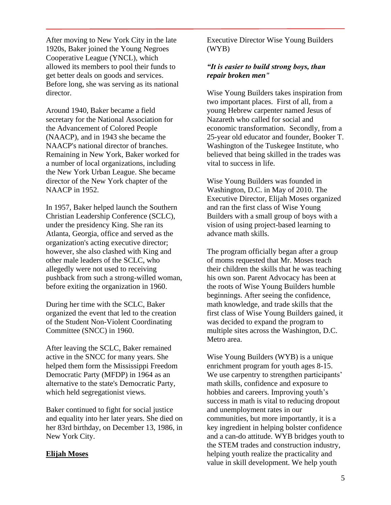After moving to New York City in the late 1920s, Baker joined the Young Negroes Cooperative League (YNCL), which allowed its members to pool their funds to get better deals on goods and services. Before long, she was serving as its national director.

Around 1940, Baker became a field secretary for the National Association for the Advancement of Colored People (NAACP), and in 1943 she became the NAACP's national director of branches. Remaining in New York, Baker worked for a number of local organizations, including the New York Urban League. She became director of the New York chapter of the NAACP in 1952.

In 1957, Baker helped launch the Southern Christian Leadership Conference (SCLC), under the presidency King. She ran its Atlanta, Georgia, office and served as the organization's acting executive director; however, she also clashed with King and other male leaders of the SCLC, who allegedly were not used to receiving pushback from such a strong-willed woman, before exiting the organization in 1960.

During her time with the SCLC, Baker organized the event that led to the creation of the Student Non-Violent Coordinating Committee (SNCC) in 1960.

After leaving the SCLC, Baker remained active in the SNCC for many years. She helped them form the Mississippi Freedom Democratic Party (MFDP) in 1964 as an alternative to the state's Democratic Party, which held segregationist views.

Baker continued to fight for social justice and equality into her later years. She died on her 83rd birthday, on December 13, 1986, in New York City.

#### **Elijah Moses**

Executive Director Wise Young Builders (WYB)

#### *"It is easier to build strong boys, than repair broken men"*

Wise Young Builders takes inspiration from two important places. First of all, from a young Hebrew carpenter named Jesus of Nazareth who called for social and economic transformation. Secondly, from a 25-year old educator and founder, Booker T. Washington of the Tuskegee Institute, who believed that being skilled in the trades was vital to success in life.

Wise Young Builders was founded in Washington, D.C. in May of 2010. The Executive Director, Elijah Moses organized and ran the first class of Wise Young Builders with a small group of boys with a vision of using project-based learning to advance math skills.

The program officially began after a group of moms requested that Mr. Moses teach their children the skills that he was teaching his own son. Parent Advocacy has been at the roots of Wise Young Builders humble beginnings. After seeing the confidence, math knowledge, and trade skills that the first class of Wise Young Builders gained, it was decided to expand the program to multiple sites across the Washington, D.C. Metro area.

Wise Young Builders (WYB) is a unique enrichment program for youth ages 8-15. We use carpentry to strengthen participants' math skills, confidence and exposure to hobbies and careers. Improving youth's success in math is vital to reducing dropout and unemployment rates in our communities, but more importantly, it is a key ingredient in helping bolster confidence and a can-do attitude. WYB bridges youth to the STEM trades and construction industry, helping youth realize the practicality and value in skill development. We help youth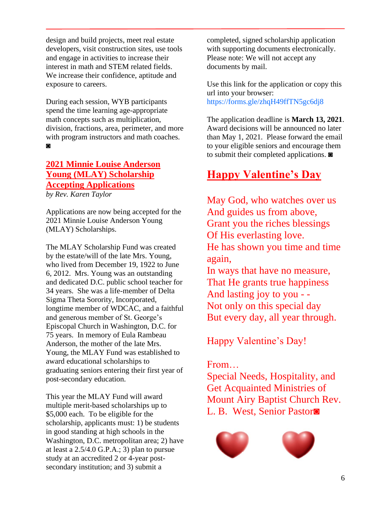design and build projects, meet real estate developers, visit construction sites, use tools and engage in activities to increase their interest in math and STEM related fields. We increase their confidence, aptitude and exposure to careers.

During each session, WYB participants spend the time learning age-appropriate math concepts such as multiplication, division, fractions, area, perimeter, and more with program instructors and math coaches. ◙

## **2021 Minnie Louise Anderson Young (MLAY) Scholarship Accepting Applications**

*by Rev. Karen Taylor*

Applications are now being accepted for the 2021 Minnie Louise Anderson Young (MLAY) Scholarships.

The MLAY Scholarship Fund was created by the estate/will of the late Mrs. Young, who lived from December 19, 1922 to June 6, 2012. Mrs. Young was an outstanding and dedicated D.C. public school teacher for 34 years. She was a life-member of Delta Sigma Theta Sorority, Incorporated, longtime member of WDCAC, and a faithful and generous member of St. George's Episcopal Church in Washington, D.C. for 75 years. In memory of Eula Rambeau Anderson, the mother of the late Mrs. Young, the MLAY Fund was established to award educational scholarships to graduating seniors entering their first year of post-secondary education.

This year the MLAY Fund will award multiple merit-based scholarships up to \$5,000 each. To be eligible for the scholarship, applicants must: 1) be students in good standing at high schools in the Washington, D.C. metropolitan area; 2) have at least a  $2.5/4.0$  G.P.A.; 3) plan to pursue study at an accredited 2 or 4-year postsecondary institution; and 3) submit a

completed, signed scholarship application with supporting documents electronically. Please note: We will not accept any documents by mail.

Use this link for the application or copy this url into your browser: https://forms.gle/zhqH49ffTN5gc6dj8

The application deadline is **March 13, 2021**. Award decisions will be announced no later than May 1, 2021. Please forward the email to your eligible seniors and encourage them to submit their completed applications. ◙

## **Happy Valentine's Day**

May God, who watches over us And guides us from above, Grant you the riches blessings Of His everlasting love. He has shown you time and time again, In ways that have no measure,

That He grants true happiness And lasting joy to you - - Not only on this special day But every day, all year through.

Happy Valentine's Day!

## From…

Special Needs, Hospitality, and Get Acquainted Ministries of Mount Airy Baptist Church Rev. L. B. West, Senior Pastor◙



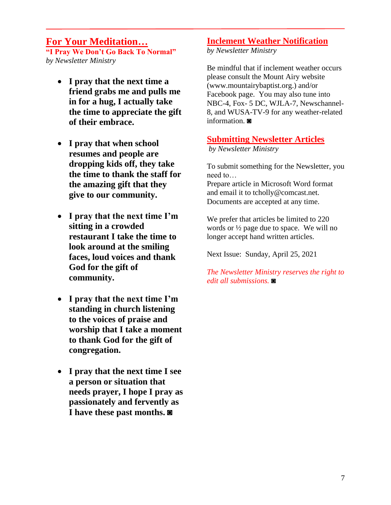## **For Your Meditation…**

**"I Pray We Don't Go Back To Normal"** *by Newsletter Ministry*

- **I pray that the next time a friend grabs me and pulls me in for a hug, I actually take the time to appreciate the gift of their embrace.**
- **I pray that when school resumes and people are dropping kids off, they take the time to thank the staff for the amazing gift that they give to our community.**
- **I pray that the next time I'm sitting in a crowded restaurant I take the time to look around at the smiling faces, loud voices and thank God for the gift of community.**
- **I pray that the next time I'm standing in church listening to the voices of praise and worship that I take a moment to thank God for the gift of congregation.**
- **I pray that the next time I see a person or situation that needs prayer, I hope I pray as passionately and fervently as I have these past months. ◙**

## **Inclement Weather Notification**

*by Newsletter Ministry*

Be mindful that if inclement weather occurs please consult the Mount Airy website (www.mountairybaptist.org.) and/or Facebook page. You may also tune into NBC-4, Fox- 5 DC, WJLA-7, Newschannel-8, and WUSA-TV-9 for any weather-related information. **◙** 

### **Submitting Newsletter Articles**

*by Newsletter Ministry*

To submit something for the Newsletter, you need to…

Prepare article in Microsoft Word format and email it to tcholly@comcast.net. Documents are accepted at any time.

We prefer that articles be limited to 220 words or ½ page due to space. We will no longer accept hand written articles.

Next Issue: Sunday, April 25, 2021

*The Newsletter Ministry reserves the right to edit all submissions.* **◙**